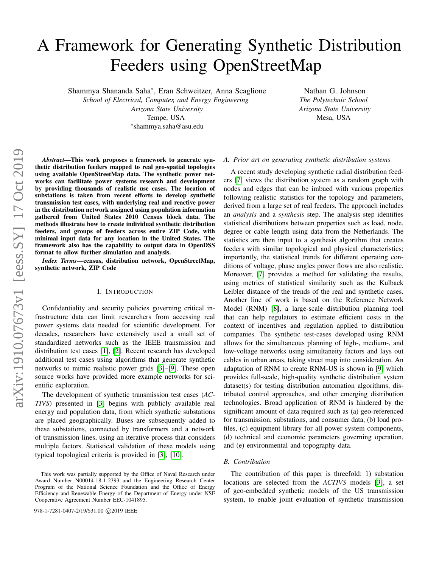# A Framework for Generating Synthetic Distribution Feeders using OpenStreetMap

Shammya Shananda Saha<sup>∗</sup> , Eran Schweitzer, Anna Scaglione

*School of Electrical, Computer, and Energy Engineering Arizona State University* Tempe, USA ∗ shammya.saha@asu.edu

Nathan G. Johnson *The Polytechnic School Arizona State University* Mesa, USA

*Abstract*—This work proposes a framework to generate synthetic distribution feeders mapped to real geo-spatial topologies using available OpenStreetMap data. The synthetic power networks can facilitate power systems research and development by providing thousands of realistic use cases. The location of substations is taken from recent efforts to develop synthetic transmission test cases, with underlying real and reactive power in the distribution network assigned using population information gathered from United States 2010 Census block data. The methods illustrate how to create individual synthetic distribution feeders, and groups of feeders across entire ZIP Code, with minimal input data for any location in the United States. The framework also has the capability to output data in OpenDSS format to allow further simulation and analysis.

*Index Terms*—census, distribution network, OpenStreetMap, synthetic network, ZIP Code

## I. INTRODUCTION

Confidentiality and security policies governing critical infrastructure data can limit researchers from accessing real power systems data needed for scientific development. For decades, researchers have extensively used a small set of standardized networks such as the IEEE transmission and distribution test cases [\[1\]](#page-5-0), [\[2\]](#page-5-1). Recent research has developed additional test cases using algorithms that generate synthetic networks to mimic realistic power grids [\[3\]](#page-5-2)–[\[9\]](#page-5-3). These open source works have provided more example networks for scientific exploration.

The development of synthetic transmission test cases (*AC-TIVS*) presented in [\[3\]](#page-5-2) begins with publicly available real energy and population data, from which synthetic substations are placed geographically. Buses are subsequently added to these substations, connected by transformers and a network of transmission lines, using an iterative process that considers multiple factors. Statistical validation of these models using typical topological criteria is provided in [\[3\]](#page-5-2), [\[10\]](#page-5-4).

978-1-7281-0407-2/19/\$31.00 ©2019 IEEE

#### *A. Prior art on generating synthetic distribution systems*

A recent study developing synthetic radial distribution feeders [\[7\]](#page-5-5) views the distribution system as a random graph with nodes and edges that can be imbued with various properties following realistic statistics for the topology and parameters, derived from a large set of real feeders. The approach includes an *analysis* and a *synthesis* step. The analysis step identifies statistical distributions between properties such as load, node, degree or cable length using data from the Netherlands. The statistics are then input to a synthesis algorithm that creates feeders with similar topological and physical characteristics; importantly, the statistical trends for different operating conditions of voltage, phase angles power flows are also realistic. Moreover, [\[7\]](#page-5-5) provides a method for validating the results, using metrics of statistical similarity such as the Kulback Leibler distance of the trends of the real and synthetic cases. Another line of work is based on the Reference Network Model (RNM) [\[8\]](#page-5-6), a large-scale distribution planning tool that can help regulators to estimate efficient costs in the context of incentives and regulation applied to distribution companies. The synthetic test-cases developed using RNM allows for the simultaneous planning of high-, medium-, and low-voltage networks using simultaneity factors and lays out cables in urban areas, taking street map into consideration. An adaptation of RNM to create RNM-US is shown in [\[9\]](#page-5-3) which provides full-scale, high-quality synthetic distribution system dataset(s) for testing distribution automation algorithms, distributed control approaches, and other emerging distribution technologies. Broad application of RNM is hindered by the significant amount of data required such as (a) geo-referenced for transmission, substations, and consumer data, (b) load profiles, (c) equipment library for all power system components, (d) technical and economic parameters governing operation, and (e) environmental and topography data.

## *B. Contribution*

The contribution of this paper is threefold: 1) substation locations are selected from the *ACTIVS* models [\[3\]](#page-5-2), a set of geo-embedded synthetic models of the US transmission system, to enable joint evaluation of synthetic transmission

This work was partially supported by the Office of Naval Research under Award Number N00014-18-1-2393 and the Engineering Research Center Program of the National Science Foundation and the Office of Energy Efficiency and Renewable Energy of the Department of Energy under NSF Cooperative Agreement Number EEC-1041895.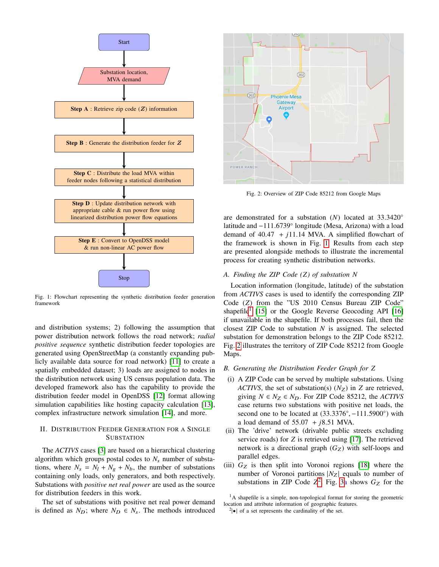<span id="page-1-0"></span>

Fig. 1: Flowchart representing the synthetic distribution feeder generation framework

and distribution systems; 2) following the assumption that power distribution network follows the road network; *radial positive sequence* synthetic distribution feeder topologies are generated using OpenStreetMap (a constantly expanding publicly available data source for road network) [\[11\]](#page-5-7) to create a spatially embedded dataset; 3) loads are assigned to nodes in the distribution network using US census population data. The developed framework also has the capability to provide the distribution feeder model in OpenDSS [\[12\]](#page-5-8) format allowing simulation capabilities like hosting capacity calculation [\[13\]](#page-5-9), complex infrastructure network simulation [\[14\]](#page-5-10), and more.

# II. DISTRIBUTION FEEDER GENERATION FOR A SINGLE **SUBSTATION**

The *ACTIVS* cases [\[3\]](#page-5-2) are based on a hierarchical clustering algorithm which groups postal codes to  $N_s$  number of substations, where  $N_s = N_l + N_g + N_b$ , the number of substations containing only loads, only generators, and both respectively. Substations with *positive net real power* are used as the source for distribution feeders in this work.

The set of substations with positive net real power demand is defined as  $N_D$ ; where  $N_D \in N_S$ . The methods introduced

<span id="page-1-2"></span>

Fig. 2: Overview of ZIP Code 85212 from Google Maps

are demonstrated for a substation (*N*) located at <sup>33</sup>.3420◦ latitude and −111.6739° longitude (Mesa, Arizona) with a load demand of 40.47  $\pm i11.14$  MVA  $\Delta$  simplified flowchart of demand of  $40.47 + j11.14$  MVA. A simplified flowchart of the framework is shown in Fig. [1.](#page-1-0) Results from each step are presented alongside methods to illustrate the incremental process for creating synthetic distribution networks.

## *A. Finding the ZIP Code (Z) of substation N*

Location information (longitude, latitude) of the substation from *ACTIVS* cases is used to identify the corresponding ZIP Code (*Z*) from the "US 2010 Census Bureau ZIP Code" shapefile<sup>[1](#page-1-1)</sup> [\[15\]](#page-5-11) or the Google Reverse Geocoding API [\[16\]](#page-5-12) if unavailable in the shapefile. If both processes fail, then the closest ZIP Code to substation *N* is assigned. The selected substation for demonstration belongs to the ZIP Code 85212. Fig. [2](#page-1-2) illustrates the territory of ZIP Code 85212 from Google Maps.

#### *B. Generating the Distribution Feeder Graph for Z*

- (i) A ZIP Code can be served by multiple substations. Using *ACTIVS*, the set of substation(s)  $(N_Z)$  in *Z* are retrieved, giving  $N \in N_Z \in N_D$ . For ZIP Code 85212, the *ACTIVS* case returns two substations with positive net loads, the second one to be located at  $(33.3376°, -111.5900°)$  with a load demand of 55.07 + i8.51 MVA a load demand of <sup>55</sup>.<sup>07</sup> <sup>+</sup> *<sup>j</sup>*8.<sup>51</sup> MVA.
- (ii) The 'drive' network (drivable public streets excluding service roads) for *Z* is retrieved using [\[17\]](#page-5-13). The retrieved network is a directional graph  $(G_Z)$  with self-loops and parallel edges.
- (iii)  $G_Z$  is then split into Voronoi regions [\[18\]](#page-5-14) where the number of Voronoi partitions  $|N_Z|$  equals to number of substations in ZIP Code  $Z^2$  $Z^2$ . Fig. [3a](#page-2-0) shows  $G_Z$  for the

<span id="page-1-1"></span> ${}^{1}$ A shapefile is a simple, non-topological format for storing the geometric location and attribute information of geographic features.

<span id="page-1-3"></span> $2|\bullet|$  of a set represents the cardinality of the set.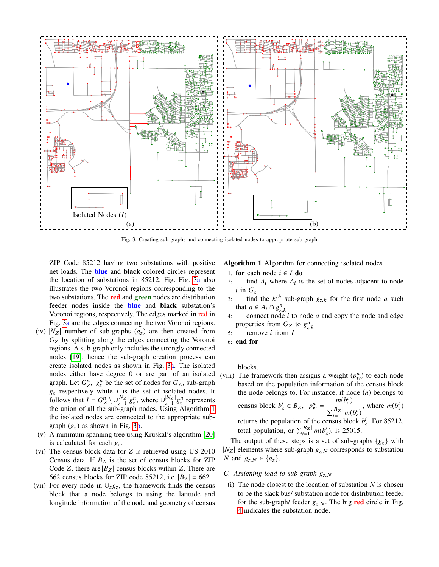<span id="page-2-0"></span>

Fig. 3: Creating sub-graphs and connecting isolated nodes to appropriate sub-graph

ZIP Code 85212 having two substations with positive net loads. The blue and black colored circles represent the location of substations in 85212. Fig. Fig. [3a](#page-2-0) also illustrates the two Voronoi regions corresponding to the two substations. The **red** and **green** nodes are distribution feeder nodes inside the **blue** and **black** substation's Voronoi regions, respectively. The edges marked in red in Fig. [3a](#page-2-0) are the edges connecting the two Voronoi regions.

- (iv)  $|N_Z|$  number of sub-graphs ( $g_z$ ) are then created from *G*<sup>Z</sup> by splitting along the edges connecting the Voronoi regions. A sub-graph only includes the strongly connected nodes [\[19\]](#page-5-15); hence the sub-graph creation process can create isolated nodes as shown in Fig. [3a](#page-2-0). The isolated nodes either have degree 0 or are part of an isolated graph. Let  $G_Z^n$ ,  $g_z^n$  be the set of nodes for  $G_Z$ , sub-graph  $g$  respectively while *I* is the set of isolated nodes It  $g<sub>z</sub>$  respectively while *I* is the set of isolated nodes. It follows that  $I = G_Z^n \setminus \bigcup_{z=1}^{|N_Z|} g_z^n$ , where  $\bigcup_{z=1}^{|N_Z|}$  $\frac{|N_Z|}{|z=1} g_z^n$  represents the union of all the sub-graph nodes. Using Algorithm [1](#page-2-1) the isolated nodes are connected to the appropriate subgraph  $(g_z)$  as shown in Fig. [3b](#page-2-0).
- (v) A minimum spanning tree using Kruskal's algorithm [\[20\]](#page-5-16) is calculated for each  $g_z$ .
- (vi) The census block data for *Z* is retrieved using US 2010 Census data. If  $B_Z$  is the set of census blocks for ZIP Code *Z*, there are  $|B_Z|$  census blocks within *Z*. There are 662 census blocks for ZIP code 85212, i.e.  $|B_Z| = 662$ .
- (vii) For every node in  $\cup_z g_z$ , the framework finds the census block that a node belongs to using the latitude and longitude information of the node and geometry of census

Algorithm 1 Algorithm for connecting isolated nodes

- <span id="page-2-1"></span>1: **for** each node  $i \in I$  **do**
- 2: find  $A_i$  where  $A_i$  is the set of nodes adjacent to node  $i$  in  $G_z$
- 3: find the  $k^{th}$  sub-graph  $g_{z,k}$  for the first node *a* such that  $a \in A \cap a^n$ that  $a \in A_i \cap g_{\tau}^n$
- 4: connect node *i* to node *a* and copy the node and edge properties from  $G_Z$  to  $g_{z,k}^n$ <br>remove *i* from *I*
- 5: remove *i* from *I*
- 6: end for

blocks.

(viii) The framework then assigns a weight  $(p_w^n)$  to each node based on the population information of the census block the node belongs to. For instance, if node (*n*) belongs to census block  $b_z^i \in B_z$ ,  $p_w^n =$  $m(b_z^i)$  $\sum_{i=1}^{|B_Z|} m(b_z^i)$ , where  $m(b_z^i)$ returns the population of the census block  $b^i_z$ . For 85212, total population, or  $\sum_{i=1}^{|B_Z|} m(b_z^i)$ , is 25015.

The output of these steps is a set of sub-graphs  $\{g_z\}$  with  $|N_Z|$  elements where sub-graph  $g_{z,N}$  corresponds to substation *N* and  $g_{z,N} \in \{g_z\}.$ 

- <span id="page-2-2"></span>*C.* Assigning load to sub-graph  $g_{Z}$   $_N$
- (i) The node closest to the location of substation  $N$  is chosen to be the slack bus/ substation node for distribution feeder for the sub-graph/ feeder  $g_{z,N}$ . The big red circle in Fig. [4](#page-3-0) indicates the substation node.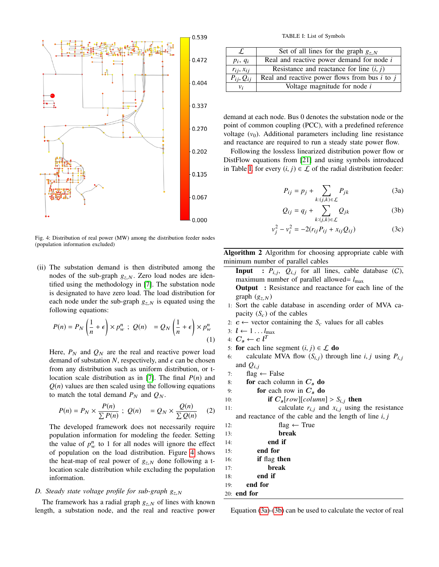<span id="page-3-0"></span>

Fig. 4: Distribution of real power (MW) among the distribution feeder nodes (population information excluded)

(ii) The substation demand is then distributed among the nodes of the sub-graph  $g_{z,N}$ . Zero load nodes are identified using the methodology in [\[7\]](#page-5-5). The substation node is designated to have zero load. The load distribution for each node under the sub-graph  $g_{z,N}$  is equated using the following equations:

$$
P(n) = P_N \left(\frac{1}{n} + \epsilon\right) \times p_w^n; \ Q(n) = Q_N \left(\frac{1}{n} + \epsilon\right) \times p_w^n
$$
\n(1)

Here,  $P_N$  and  $Q_N$  are the real and reactive power load demand of substation N, respectively, and  $\epsilon$  can be chosen from any distribution such as uniform distribution, or tlocation scale distribution as in [\[7\]](#page-5-5). The final *P*(*n*) and  $Q(n)$  values are then scaled using the following equations to match the total demand  $P_N$  and  $Q_N$ .

$$
P(n) = P_N \times \frac{P(n)}{\sum P(n)} \; ; \; Q(n) = Q_N \times \frac{Q(n)}{\sum Q(n)} \quad (2)
$$

The developed framework does not necessarily require population information for modeling the feeder. Setting the value of  $p_w^n$  to 1 for all nodes will ignore the effect of population on the load distribution. Figure [4](#page-3-0) shows the heat-map of real power of  $g_{z,N}$  done following a tlocation scale distribution while excluding the population information.

## <span id="page-3-6"></span>*D. Steady state voltage profile for sub-graph*  $g_{z,N}$

The framework has a radial graph  $g_{z,N}$  of lines with known length, a substation node, and the real and reactive power

TABLE I: List of Symbols

<span id="page-3-1"></span>

|                  | Set of all lines for the graph $g_{z,N}$          |
|------------------|---------------------------------------------------|
| $p_i, q_i$       | Real and reactive power demand for node $i$       |
| $r_{ij}, x_{ij}$ | Resistance and reactance for line $(i, j)$        |
| $P_{ij}, Q_{ij}$ | Real and reactive power flows from bus $i$ to $j$ |
| v;               | Voltage magnitude for node <i>i</i>               |

demand at each node. Bus 0 denotes the substation node or the point of common coupling (PCC), with a predefined reference voltage  $(v_0)$ . Additional parameters including line resistance and reactance are required to run a steady state power flow.

Following the lossless linearized distribution power flow or DistFlow equations from [\[21\]](#page-5-17) and using symbols introduced in Table [I,](#page-3-1) for every  $(i, j) \in \mathcal{L}$  of the radial distribution feeder:

<span id="page-3-3"></span><span id="page-3-2"></span>
$$
P_{ij} = p_j + \sum_{k:(j,k)\in\mathcal{L}} P_{jk}
$$
 (3a)

<span id="page-3-5"></span>
$$
Q_{ij} = q_j + \sum_{k:(j,k)\in\mathcal{L}} Q_{jk}
$$
 (3b)

$$
v_j^2 - v_i^2 = -2(r_{ij}P_{ij} + x_{ij}Q_{ij})
$$
 (3c)

Algorithm 2 Algorithm for choosing appropriate cable with minimum number of parallel cables

<span id="page-3-4"></span>**Input** :  $P_{i,j}$ ,  $Q_{i,j}$  for all lines, cable database  $(C)$ , maximum number of parallel allowed -  $I$ maximum number of parallel allowed=  $l_{\text{max}}$ 

Output : Resistance and reactance for each line of the graph  $(g_{z,N})$ 

- 1: Sort the cable database in ascending order of MVA capacity  $(S_c)$  of the cables
- 2:  $c \leftarrow$  vector containing the  $S_c$  values for all cables
- 3:  $l \leftarrow 1 \ldots l_{\text{max}}$
- 4:  $C_s \leftarrow c l^T$
- 5: **for** each line segment  $(i, j) \in \mathcal{L}$  **do**<br>6: calculate MVA flow  $(S_{i,j})$  throu
- calculate MVA flow  $(S_{i,j})$  through line *i*, *j* using  $P_{i,j}$ and  $Q_{i,j}$
- 7: flag  $\leftarrow$  False
- 8: for each column in  $C_s$  do
- 9: **for** each row in  $C_s$  do

10: **if** 
$$
C_s[row][column] > S_{i,j}
$$
 **then**  
11: calculate  $r_i$  and  $r_j$  using

11: calculate  $r_{i,j}$  and  $x_{i,j}$  using the resistance<br>and resistance of the seble and the langth of line  $i$ ,  $i$ and reactance of the cable and the length of line *<sup>i</sup>*, *<sup>j</sup>*

| 12: | flag $\leftarrow$ True |
|-----|------------------------|
| 13: | break                  |
| 14: | end if                 |
| 15: | end for                |
| 16: | if flag then           |
| 17: | break                  |
| 18: | end if                 |
| 19: | end for                |
|     | $201$ end for          |

Equation [\(3a\)](#page-3-2)-[\(3b\)](#page-3-3) can be used to calculate the vector of real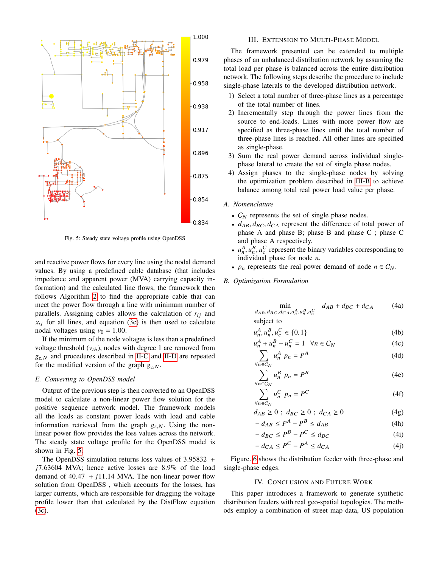<span id="page-4-0"></span>

Fig. 5: Steady state voltage profile using OpenDSS

and reactive power flows for every line using the nodal demand values. By using a predefined cable database (that includes impedance and apparent power (MVA) carrying capacity information) and the calculated line flows, the framework then follows Algorithm [2](#page-3-4) to find the appropriate cable that can meet the power flow through a line with minimum number of parallels. Assigning cables allows the calculation of  $r_{ij}$  and  $x_{ij}$  for all lines, and equation [\(3c\)](#page-3-5) is then used to calculate nodal voltages using  $v_0 = 1.00$ .

If the minimum of the node voltages is less than a predefined voltage threshold  $(v_{th})$ , nodes with degree 1 are removed from  $g_{z,N}$  and procedures described in [II-C](#page-2-2) and [II-D](#page-3-6) are repeated for the modified version of the graph  $g_{z,N}$ .

### *E. Converting to OpenDSS model*

Output of the previous step is then converted to an OpenDSS model to calculate a non-linear power flow solution for the positive sequence network model. The framework models all the loads as constant power loads with load and cable information retrieved from the graph  $g_{z,N}$ . Using the nonlinear power flow provides the loss values across the network. The steady state voltage profile for the OpenDSS model is shown in Fig. [5.](#page-4-0)

The OpenDSS simulation returns loss values of <sup>3</sup>.<sup>95832</sup> <sup>+</sup> *<sup>j</sup>*7.<sup>63604</sup> MVA; hence active losses are <sup>8</sup>.9% of the load demand of  $40.47 + j11.14$  MVA. The non-linear power flow solution from OpenDSS , which accounts for the losses, has larger currents, which are responsible for dragging the voltage profile lower than that calculated by the DistFlow equation [\(3c\)](#page-3-5).

## III. EXTENSION TO MULTI-PHASE MODEL

The framework presented can be extended to multiple phases of an unbalanced distribution network by assuming the total load per phase is balanced across the entire distribution network. The following steps describe the procedure to include single-phase laterals to the developed distribution network.

- 1) Select a total number of three-phase lines as a percentage of the total number of lines.
- 2) Incrementally step through the power lines from the source to end-loads. Lines with more power flow are specified as three-phase lines until the total number of three-phase lines is reached. All other lines are specified as single-phase.
- 3) Sum the real power demand across individual singlephase lateral to create the set of single phase nodes.
- 4) Assign phases to the single-phase nodes by solving the optimization problem described in [III-B](#page-4-1) to achieve balance among total real power load value per phase.

## *A. Nomenclature*

- $C_N$  represents the set of single phase nodes.
- $d_{AB}, d_{BC}, d_{CA}$  represent the difference of total power of phase A and phase B; phase B and phase C ; phase C and phase A respectively.
- $u_n^A$ ,  $u_n^B$ ,  $u_c^C$  represent the binary variables corresponding to individual phase for node *n* individual phase for node *n*.
- $p_n$  represents the real power demand of node  $n \in C_N$ .
- <span id="page-4-1"></span>*B. Optimization Formulation*

$$
\min_{d_{AB}, d_{BC}, d_{CA}, u_n^A, u_n^B, u_n^C} d_{AB} + d_{BC} + d_{CA}
$$
 (4a)

subject to

$$
u_n^A, u_n^B, u_c^C \in \{0, 1\} \tag{4b}
$$

$$
u_n^A + u_n^B + u_n^C = 1 \quad \forall n \in C_N
$$
\n
$$
\sum u^A n_n = P^A \tag{4d}
$$

$$
\sum_{\forall n \in C_N} u_n^A p_n = P^A \tag{4d}
$$

$$
\sum_{\forall n \in C_N} u_n^B p_n = P^B \tag{4e}
$$

$$
\sum_{\forall n \in C_N} u_n^C p_n = P^C \tag{4f}
$$

$$
d_{AB} \ge 0 \; ; \; d_{BC} \ge 0 \; ; \; d_{CA} \ge 0 \tag{4g}
$$

$$
-d_{AB} \le P^A - P^B \le d_{AB} \tag{4h}
$$

$$
-d_{BC} \le P^B - P^C \le d_{BC} \tag{4i}
$$

$$
-d_{CA} \le P^C - P^A \le d_{CA} \tag{4}
$$

Figure. [6](#page-5-18) shows the distribution feeder with three-phase and single-phase edges.

#### IV. CONCLUSION AND FUTURE WORK

This paper introduces a framework to generate synthetic distribution feeders with real geo-spatial topologies. The methods employ a combination of street map data, US population